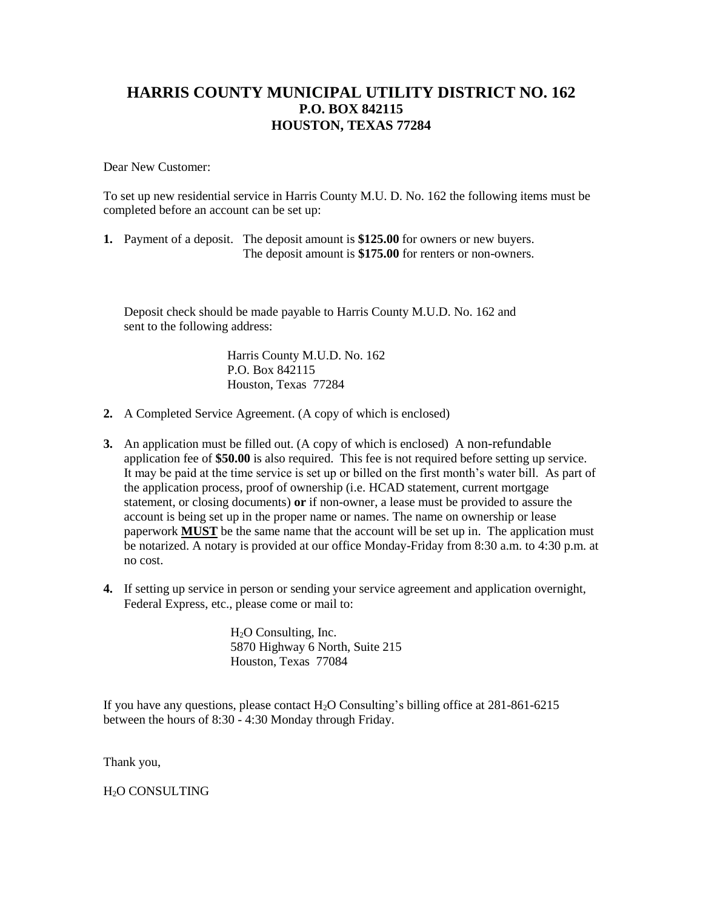# **HARRIS COUNTY MUNICIPAL UTILITY DISTRICT NO. 162 P.O. BOX 842115 HOUSTON, TEXAS 77284**

Dear New Customer:

To set up new residential service in Harris County M.U. D. No. 162 the following items must be completed before an account can be set up:

**1.** Payment of a deposit. The deposit amount is **\$125.00** for owners or new buyers. The deposit amount is **\$175.00** for renters or non-owners.

 Deposit check should be made payable to Harris County M.U.D. No. 162 and sent to the following address:

> Harris County M.U.D. No. 162 P.O. Box 842115 Houston, Texas 77284

- **2.** A Completed Service Agreement. (A copy of which is enclosed)
- **3.** An application must be filled out. (A copy of which is enclosed) A non-refundable application fee of **\$50.00** is also required. This fee is not required before setting up service. It may be paid at the time service is set up or billed on the first month's water bill. As part of the application process, proof of ownership (i.e. HCAD statement, current mortgage statement, or closing documents) **or** if non-owner, a lease must be provided to assure the account is being set up in the proper name or names. The name on ownership or lease paperwork **MUST** be the same name that the account will be set up in. The application must be notarized. A notary is provided at our office Monday-Friday from 8:30 a.m. to 4:30 p.m. at no cost.
- **4.** If setting up service in person or sending your service agreement and application overnight, Federal Express, etc., please come or mail to:

H2O Consulting, Inc. 5870 Highway 6 North, Suite 215 Houston, Texas 77084

If you have any questions, please contact  $H_2O$  Consulting's billing office at 281-861-6215 between the hours of 8:30 - 4:30 Monday through Friday.

Thank you,

H2O CONSULTING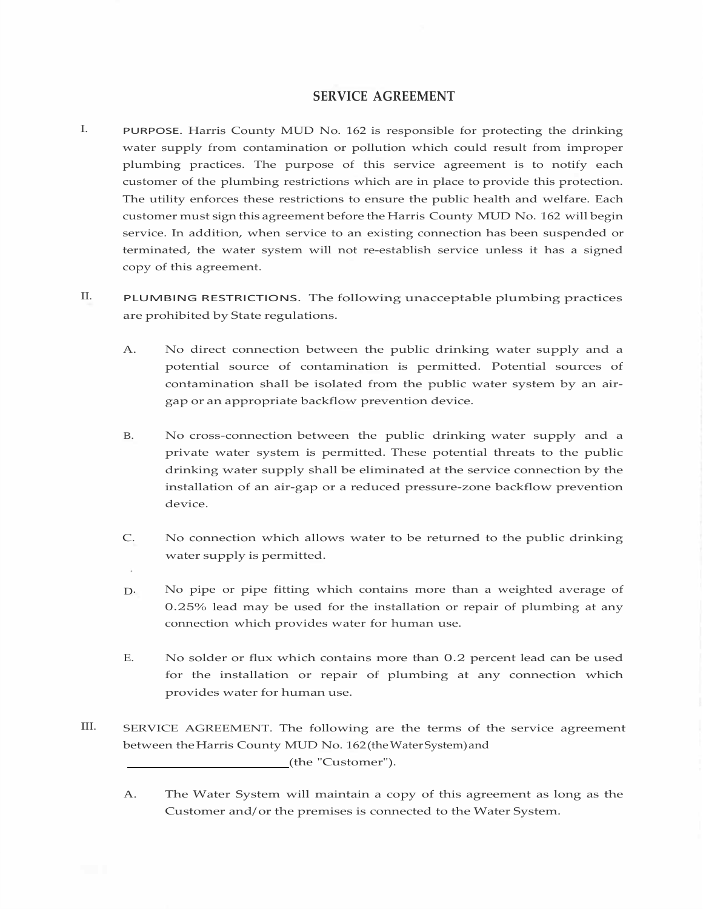## **SERVICE AGREEMENT**

- I. PURPOSE. Harris County MUD No. 162 is responsible for protecting the drinking water supply from contamination or pollution which could result from improper plumbing practices. The purpose of this service agreement is to notify each customer of the plumbing restrictions which are in place to provide this protection. The utility enforces these restrictions to ensure the public health and welfare. Each customer must sign this agreement before the Harris County MUD No. 162 will begin service. In addition, when service to an existing connection has been suspended or terminated, the water system will not re-establish service unless it has a signed copy of this agreement.
- II. PLUMBING RESTRICTIONS. The following unacceptable plumbing practices are prohibited by State regulations.
	- A. No direct connection between the public drinking water supply and a potential source of contamination is permitted. Potential sources of contamination shall be isolated from the public water system by an airgap or an appropriate backflow prevention device.
	- B. No cross-connection between the public drinking water supply and a private water system is permitted. These potential threats to the public drinking water supply shall be eliminated at the service connection by the installation of an air-gap or a reduced pressure-zone backflow prevention device.
	- C. No connection which allows water to be returned to the public drinking water supply is permitted.
	- D. No pipe or pipe fitting which contains more than a weighted average of 0.25% lead may be used for the installation or repair of plumbing at any connection which provides water for human use.
	- E. No solder or flux which contains more than 0.2 percent lead can be used for the installation or repair of plumbing at any connection which provides water for human use.
- III. SERVICE AGREEMENT. The following are the terms of the service agreement between the Harris County MUD No. 162 (the Water System) and (the "Customer").
	- A. The Water System will maintain a copy of this agreement as long as the Customer and/or the premises is connected to the Water System.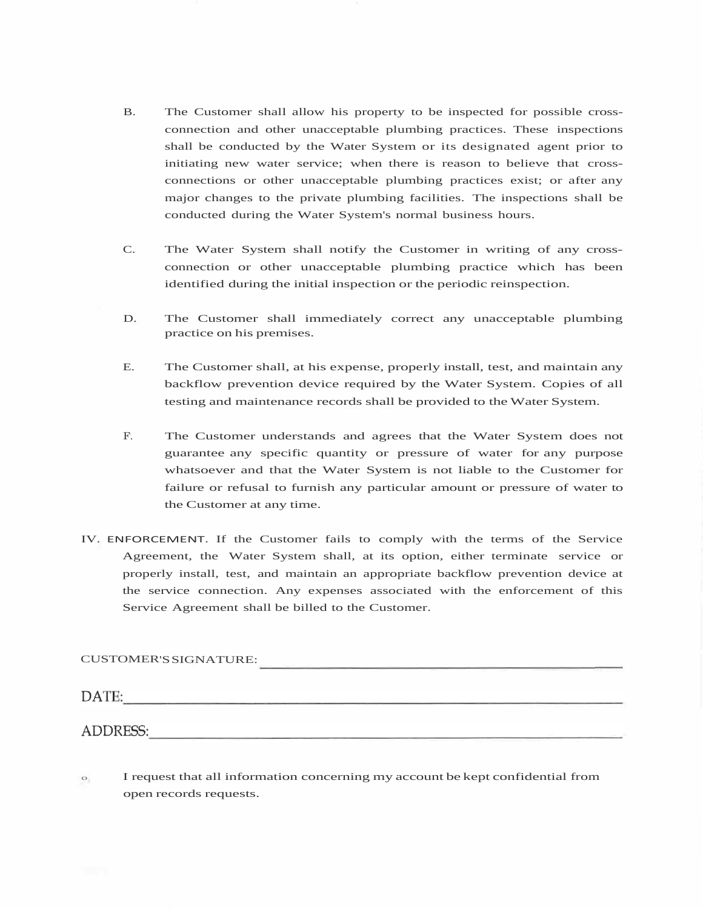- B. The Customer shall allow his property to be inspected for possible crossconnection and other unacceptable plumbing practices. These inspections shall be conducted by the Water System or its designated agent prior to initiating new water service; when there is reason to believe that crossconnections or other unacceptable plumbing practices exist; or after any major changes to the private plumbing facilities. The inspections shall be conducted during the Water System's normal business hours.
- C. The Water System shall notify the Customer in writing of any crossconnection or other unacceptable plumbing practice which has been identified during the initial inspection or the periodic reinspection.
- D. The Customer shall immediately correct any unacceptable plumbing practice on his premises.
- E. The Customer shall, at his expense, properly install, test, and maintain any backflow prevention device required by the Water System. Copies of all testing and maintenance records shall be provided to the Water System.
- F. The Customer understands and agrees that the Water System does not guarantee any specific quantity or pressure of water for any purpose whatsoever and that the Water System is not liable to the Customer for failure or refusal to furnish any particular amount or pressure of water to the Customer at any time.
- IV. ENFORCEMENT. If the Customer fails to comply with the terms of the Service Agreement, the Water System shall, at its option, either terminate service or properly install, test, and maintain an appropriate backflow prevention device at the service connection. Any expenses associated with the enforcement of this Service Agreement shall be billed to the Customer.

#### CUSTOMER'SSIGNATURE:

DATE:

## ADDRESS:

o I request that all information concerning my account be kept confidential from open records requests.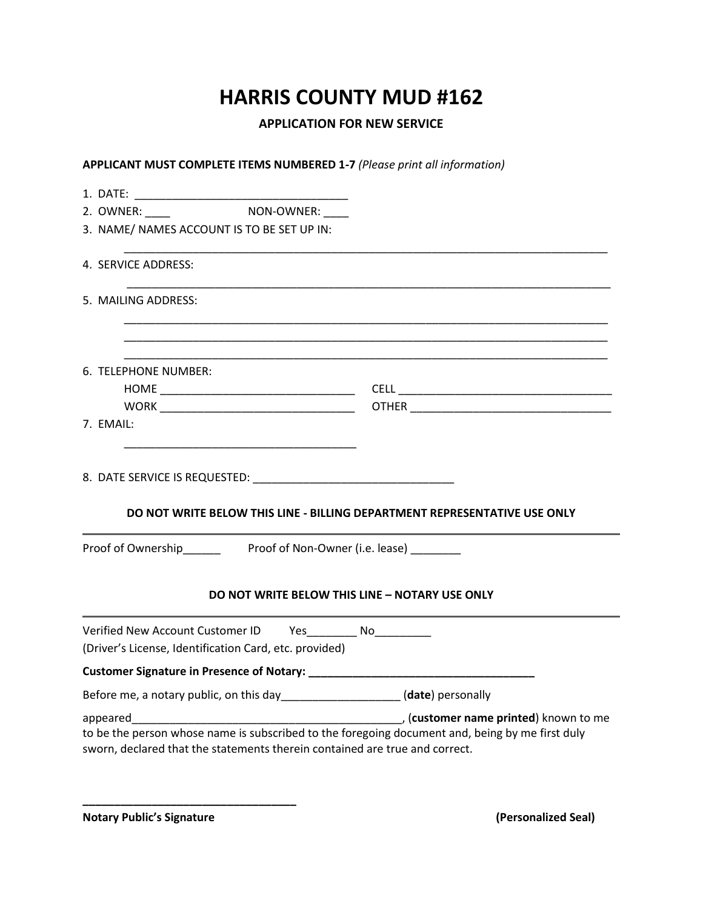# **HARRIS COUNTY MUD #162**

**APPLICATION FOR NEW SERVICE**

| <b>APPLICANT MUST COMPLETE ITEMS NUMBERED 1-7 (Please print all information)</b>                |                                                                           |
|-------------------------------------------------------------------------------------------------|---------------------------------------------------------------------------|
|                                                                                                 |                                                                           |
| 2. OWNER: _____ NON-OWNER: ____                                                                 |                                                                           |
| 3. NAME/ NAMES ACCOUNT IS TO BE SET UP IN:                                                      |                                                                           |
| 4. SERVICE ADDRESS:                                                                             |                                                                           |
| 5. MAILING ADDRESS:                                                                             |                                                                           |
| 6. TELEPHONE NUMBER:                                                                            | <u> 1989 - Johann Stoff, amerikansk politiker (d. 1989)</u>               |
|                                                                                                 |                                                                           |
|                                                                                                 |                                                                           |
| 7. EMAIL:                                                                                       |                                                                           |
|                                                                                                 | DO NOT WRITE BELOW THIS LINE - BILLING DEPARTMENT REPRESENTATIVE USE ONLY |
|                                                                                                 |                                                                           |
|                                                                                                 | DO NOT WRITE BELOW THIS LINE - NOTARY USE ONLY                            |
| Verified New Account Customer ID Yes _________ No________                                       |                                                                           |
| (Driver's License, Identification Card, etc. provided)                                          |                                                                           |
|                                                                                                 |                                                                           |
| Before me, a notary public, on this day ______________________(date) personally                 |                                                                           |
|                                                                                                 |                                                                           |
| to be the person whose name is subscribed to the foregoing document and, being by me first duly |                                                                           |
| sworn, declared that the statements therein contained are true and correct.                     |                                                                           |

**\_\_\_\_\_\_\_\_\_\_\_\_\_\_\_\_\_\_\_\_\_\_\_\_\_\_\_\_\_\_\_\_\_\_**